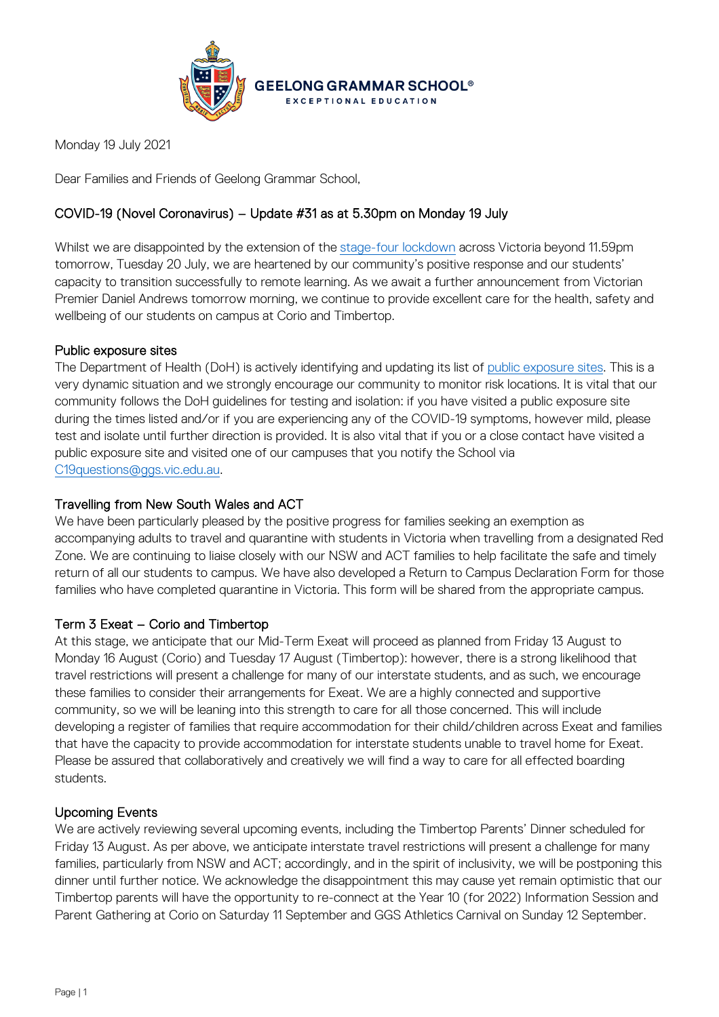

Monday 19 July 2021

Dear Families and Friends of Geelong Grammar School,

# COVID-19 (Novel Coronavirus) – Update #31 as at 5.30pm on Monday 19 July

Whilst we are disappointed by the extension of the [stage-four lockdown](https://www.coronavirus.vic.gov.au/coronavirus-covidsafe-settings) across Victoria beyond 11.59pm tomorrow, Tuesday 20 July, we are heartened by our community's positive response and our students' capacity to transition successfully to remote learning. As we await a further announcement from Victorian Premier Daniel Andrews tomorrow morning, we continue to provide excellent care for the health, safety and wellbeing of our students on campus at Corio and Timbertop.

## Public exposure sites

The Department of Health (DoH) is actively identifying and updating its list of [public exposure sites.](https://www.coronavirus.vic.gov.au/exposure-sites) This is a very dynamic situation and we strongly encourage our community to monitor risk locations. It is vital that our community follows the DoH guidelines for testing and isolation: if you have visited a public exposure site during the times listed and/or if you are experiencing any of the COVID-19 symptoms, however mild, please test and isolate until further direction is provided. It is also vital that if you or a close contact have visited a public exposure site and visited one of our campuses that you notify the School via [C19questions@ggs.vic.edu.au.](mailto:C19questions@ggs.vic.edu.au)

## Travelling from New South Wales and ACT

We have been particularly pleased by the positive progress for families seeking an exemption as accompanying adults to travel and quarantine with students in Victoria when travelling from a designated Red Zone. We are continuing to liaise closely with our NSW and ACT families to help facilitate the safe and timely return of all our students to campus. We have also developed a Return to Campus Declaration Form for those families who have completed quarantine in Victoria. This form will be shared from the appropriate campus.

## Term 3 Exeat – Corio and Timbertop

At this stage, we anticipate that our Mid-Term Exeat will proceed as planned from Friday 13 August to Monday 16 August (Corio) and Tuesday 17 August (Timbertop): however, there is a strong likelihood that travel restrictions will present a challenge for many of our interstate students, and as such, we encourage these families to consider their arrangements for Exeat. We are a highly connected and supportive community, so we will be leaning into this strength to care for all those concerned. This will include developing a register of families that require accommodation for their child/children across Exeat and families that have the capacity to provide accommodation for interstate students unable to travel home for Exeat. Please be assured that collaboratively and creatively we will find a way to care for all effected boarding students.

## Upcoming Events

We are actively reviewing several upcoming events, including the Timbertop Parents' Dinner scheduled for Friday 13 August. As per above, we anticipate interstate travel restrictions will present a challenge for many families, particularly from NSW and ACT; accordingly, and in the spirit of inclusivity, we will be postponing this dinner until further notice. We acknowledge the disappointment this may cause yet remain optimistic that our Timbertop parents will have the opportunity to re-connect at the Year 10 (for 2022) Information Session and Parent Gathering at Corio on Saturday 11 September and GGS Athletics Carnival on Sunday 12 September.